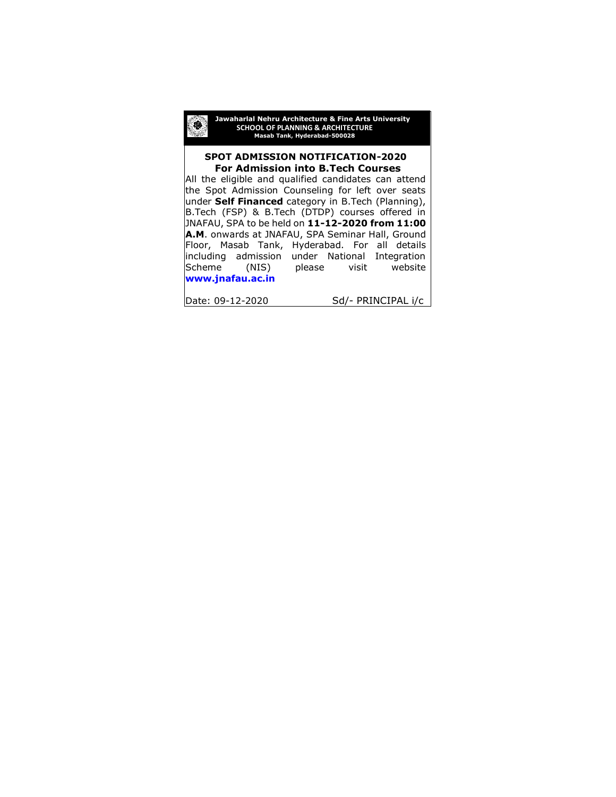

#### **SPOT ADMISSION NOTIFICATION-2020 For Admission into B.Tech Courses** ٦

All the eligible and qualified candidates can attend the Spot Admission Counseling for left over seats under **Self Financed** category in B.Tech (Planning), B.Tech (FSP) & B.Tech (DTDP) courses offered in JNAFAU, SPA to be held on **11-12-2020 from 11:00 A.M**. onwards at JNAFAU, SPA Seminar Hall, Ground Floor, Masab Tank, Hyderabad. For all details including admission under National Integration Scheme (NIS) please visit website **[www.jnafau.ac.in](http://www.jnafau.ac.in/)**

Date: 09-12-2020 Sd/- PRINCIPAL i/c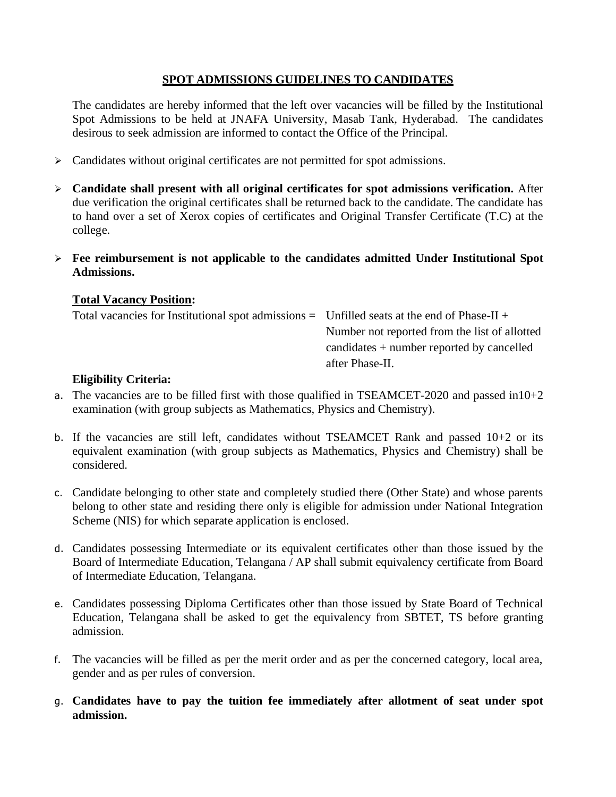### **SPOT ADMISSIONS GUIDELINES TO CANDIDATES**

The candidates are hereby informed that the left over vacancies will be filled by the Institutional Spot Admissions to be held at JNAFA University, Masab Tank, Hyderabad. The candidates desirous to seek admission are informed to contact the Office of the Principal.

- ➢ Candidates without original certificates are not permitted for spot admissions.
- ➢ **Candidate shall present with all original certificates for spot admissions verification.** After due verification the original certificates shall be returned back to the candidate. The candidate has to hand over a set of Xerox copies of certificates and Original Transfer Certificate (T.C) at the college.
- ➢ **Fee reimbursement is not applicable to the candidates admitted Under Institutional Spot Admissions.**

### **Total Vacancy Position:**

| Total vacancies for Institutional spot admissions $=$ Unfilled seats at the end of Phase-II + |                                               |
|-----------------------------------------------------------------------------------------------|-----------------------------------------------|
|                                                                                               | Number not reported from the list of allotted |
|                                                                                               | candidates $+$ number reported by cancelled   |
|                                                                                               | after Phase-II.                               |
|                                                                                               |                                               |

### **Eligibility Criteria:**

- a. The vacancies are to be filled first with those qualified in TSEAMCET-2020 and passed in  $10+2$ examination (with group subjects as Mathematics, Physics and Chemistry).
- b. If the vacancies are still left, candidates without TSEAMCET Rank and passed  $10+2$  or its equivalent examination (with group subjects as Mathematics, Physics and Chemistry) shall be considered.
- c. Candidate belonging to other state and completely studied there (Other State) and whose parents belong to other state and residing there only is eligible for admission under National Integration Scheme (NIS) for which separate application is enclosed.
- d. Candidates possessing Intermediate or its equivalent certificates other than those issued by the Board of Intermediate Education, Telangana / AP shall submit equivalency certificate from Board of Intermediate Education, Telangana.
- e. Candidates possessing Diploma Certificates other than those issued by State Board of Technical Education, Telangana shall be asked to get the equivalency from SBTET, TS before granting admission.
- f. The vacancies will be filled as per the merit order and as per the concerned category, local area, gender and as per rules of conversion.
- g. **Candidates have to pay the tuition fee immediately after allotment of seat under spot admission.**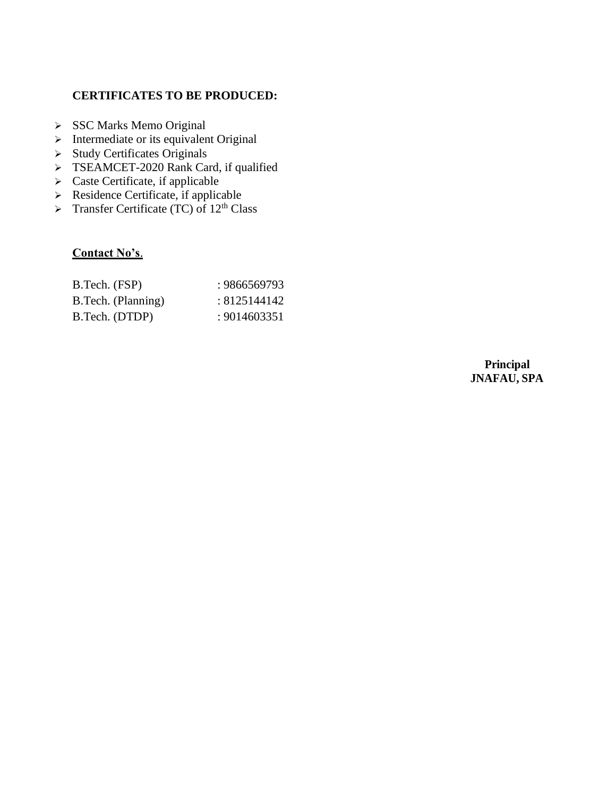## **CERTIFICATES TO BE PRODUCED:**

- ➢ SSC Marks Memo Original
- ➢ Intermediate or its equivalent Original
- ➢ Study Certificates Originals
- ➢ TSEAMCET-2020 Rank Card, if qualified
- ➢ Caste Certificate, if applicable
- ➢ Residence Certificate, if applicable
- $\triangleright$  Transfer Certificate (TC) of 12<sup>th</sup> Class

# **Contact No's**.

| B.Tech. (FSP)      | : 9866569793 |
|--------------------|--------------|
| B.Tech. (Planning) | : 8125144142 |
| B.Tech. (DTDP)     | : 9014603351 |

**Principal JNAFAU, SPA**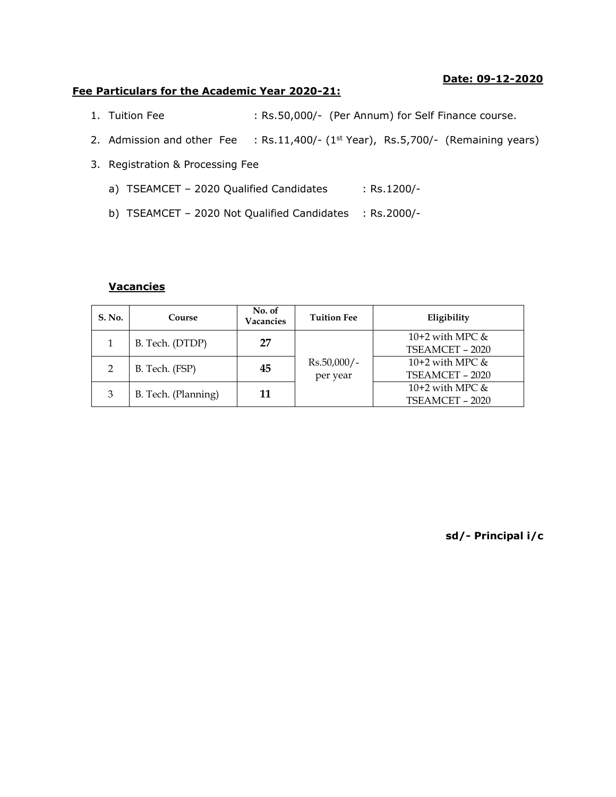#### **Date: 09-12-2020**

#### **Fee Particulars for the Academic Year 2020-21:**

- 1. Tuition Fee : Rs.50,000/- (Per Annum) for Self Finance course.
- 2. Admission and other Fee : Rs.11,400/- (1<sup>st</sup> Year), Rs.5,700/- (Remaining years)
- 3. Registration & Processing Fee
	- a) TSEAMCET 2020 Qualified Candidates : Rs.1200/-
	- b) TSEAMCET 2020 Not Qualified Candidates : Rs.2000/-

### **Vacancies**

| S. No. | Course              | No. of<br>Vacancies | <b>Tuition Fee</b> | Eligibility        |
|--------|---------------------|---------------------|--------------------|--------------------|
|        | B. Tech. (DTDP)     | 27                  |                    | 10+2 with MPC $\&$ |
|        |                     |                     |                    | TSEAMCET - 2020    |
| 2      | B. Tech. (FSP)      | 45                  | $Rs.50,000/-$      | 10+2 with MPC $&$  |
|        |                     |                     |                    | per year           |
| 3      | B. Tech. (Planning) | 11                  |                    | 10+2 with MPC $&$  |
|        |                     |                     |                    | TSEAMCET - 2020    |

**sd/- Principal i/c**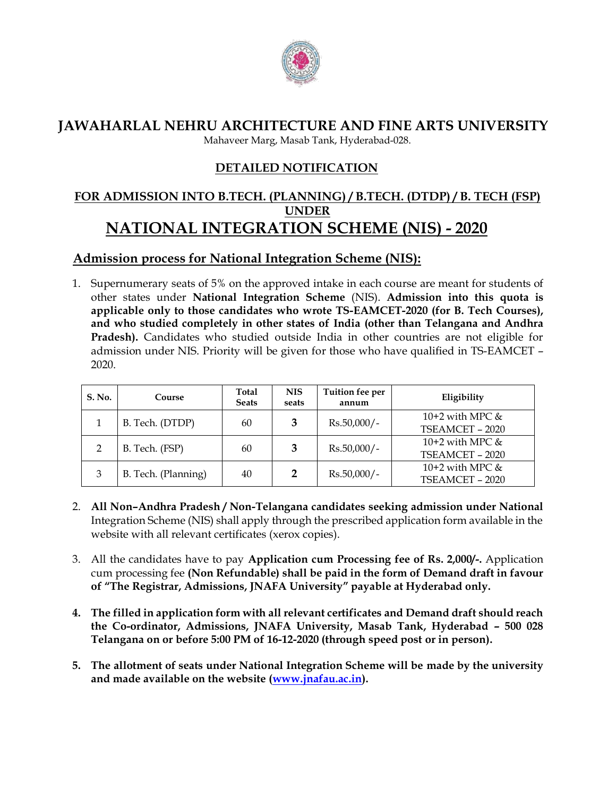

**JAWAHARLAL NEHRU ARCHITECTURE AND FINE ARTS UNIVERSITY**

Mahaveer Marg, Masab Tank, Hyderabad-028.

# **DETAILED NOTIFICATION**

# **FOR ADMISSION INTO B.TECH. (PLANNING) / B.TECH. (DTDP) / B. TECH (FSP) UNDER NATIONAL INTEGRATION SCHEME (NIS) - 2020**

# **Admission process for National Integration Scheme (NIS):**

1. Supernumerary seats of 5% on the approved intake in each course are meant for students of other states under **National Integration Scheme** (NIS). **Admission into this quota is applicable only to those candidates who wrote TS-EAMCET-2020 (for B. Tech Courses), and who studied completely in other states of India (other than Telangana and Andhra Pradesh).** Candidates who studied outside India in other countries are not eligible for admission under NIS. Priority will be given for those who have qualified in TS-EAMCET – 2020.

| S. No.        | Course              | Total<br><b>Seats</b> | <b>NIS</b><br>seats | Tuition fee per<br>annum | Eligibility                          |
|---------------|---------------------|-----------------------|---------------------|--------------------------|--------------------------------------|
|               | B. Tech. (DTDP)     | 60                    |                     | $Rs.50,000/-$            | 10+2 with MPC $&$<br>TSEAMCET - 2020 |
| $\mathcal{D}$ | B. Tech. (FSP)      | 60                    |                     | $Rs.50,000/-$            | 10+2 with MPC $&$<br>TSEAMCET - 2020 |
| 3             | B. Tech. (Planning) | 40                    |                     | $Rs.50,000/-$            | 10+2 with MPC $&$<br>TSEAMCET - 2020 |

- 2. **All Non–Andhra Pradesh / Non-Telangana candidates seeking admission under National** Integration Scheme (NIS) shall apply through the prescribed application form available in the website with all relevant certificates (xerox copies).
- 3. All the candidates have to pay **Application cum Processing fee of Rs. 2,000/-.** Application cum processing fee **(Non Refundable) shall be paid in the form of Demand draft in favour of "The Registrar, Admissions, JNAFA University" payable at Hyderabad only.**
- **4. The filled in application form with all relevant certificates and Demand draft should reach the Co-ordinator, Admissions, JNAFA University, Masab Tank, Hyderabad – 500 028 Telangana on or before 5:00 PM of 16-12-2020 (through speed post or in person).**
- **5. The allotment of seats under National Integration Scheme will be made by the university and made available on the website [\(www.jnafau.ac.in\)](http://www.jnafau.ac.in/).**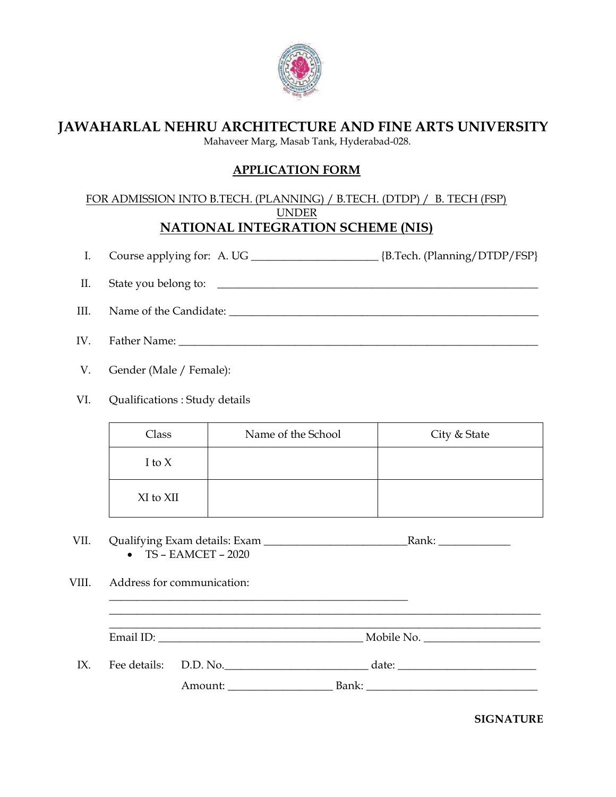

# **JAWAHARLAL NEHRU ARCHITECTURE AND FINE ARTS UNIVERSITY**

Mahaveer Marg, Masab Tank, Hyderabad-028.

## **APPLICATION FORM**

### FOR ADMISSION INTO B.TECH. (PLANNING) / B.TECH. (DTDP) / B. TECH (FSP) UNDER **NATIONAL INTEGRATION SCHEME (NIS)**

I. Course applying for: A. UG \_\_\_\_\_\_\_\_\_\_\_\_\_\_\_\_\_\_\_\_\_\_\_ {B.Tech. (Planning/DTDP/FSP}

- II. State you belong to: \_\_\_\_\_\_\_\_\_\_\_\_\_\_\_\_\_\_\_\_\_\_\_\_\_\_\_\_\_\_\_\_\_\_\_\_\_\_\_\_\_\_\_\_\_\_\_\_\_\_\_\_\_\_\_\_\_\_
- III. Name of the Candidate: \_\_\_\_\_\_\_\_\_\_\_\_\_\_\_\_\_\_\_\_\_\_\_\_\_\_\_\_\_\_\_\_\_\_\_\_\_\_\_\_\_\_\_\_\_\_\_\_\_\_\_\_\_\_\_\_
- IV. Father Name: \_\_\_\_\_\_\_\_\_\_\_\_\_\_\_\_\_\_\_\_\_\_\_\_\_\_\_\_\_\_\_\_\_\_\_\_\_\_\_\_\_\_\_\_\_\_\_\_\_\_\_\_\_\_\_\_\_\_\_\_\_\_\_\_\_
- V. Gender (Male / Female):
- VI. Qualifications : Study details

| Class     | Name of the School | City & State |
|-----------|--------------------|--------------|
| I to $X$  |                    |              |
| XI to XII |                    |              |

- VII. Qualifying Exam details: Exam \_\_\_\_\_\_\_\_\_\_\_\_\_\_\_\_\_\_\_\_\_\_\_\_\_\_Rank: \_\_\_\_\_\_\_\_\_\_\_\_\_  $\bullet$  TS – EAMCET – 2020
- VIII. Address for communication:

\_\_\_\_\_\_\_\_\_\_\_\_\_\_\_\_\_\_\_\_\_\_\_\_\_\_\_\_\_\_\_\_\_\_\_\_\_\_\_\_\_\_\_\_\_\_\_\_\_\_\_\_\_\_\_\_\_\_\_\_\_\_\_\_\_\_\_\_\_\_\_\_\_\_\_\_\_\_ Email ID:  $\blacksquare$ 

\_\_\_\_\_\_\_\_\_\_\_\_\_\_\_\_\_\_\_\_\_\_\_\_\_\_\_\_\_\_\_\_\_\_\_\_\_\_\_\_\_\_\_\_\_\_\_\_\_\_\_\_\_\_

IX. Fee details: D.D. No.  $\qquad \qquad$  date:

\_\_\_\_\_\_\_\_\_\_\_\_\_\_\_\_\_\_\_\_\_\_\_\_\_\_\_\_\_\_\_\_\_\_\_\_\_\_\_\_\_\_\_\_\_\_\_\_\_\_\_\_\_\_\_\_\_\_\_\_\_\_\_\_\_\_\_\_\_\_\_\_\_\_\_\_\_\_

Amount: \_\_\_\_\_\_\_\_\_\_\_\_\_\_\_\_\_\_\_ Bank: \_\_\_\_\_\_\_\_\_\_\_\_\_\_\_\_\_\_\_\_\_\_\_\_\_\_\_\_\_\_\_

**SIGNATURE**